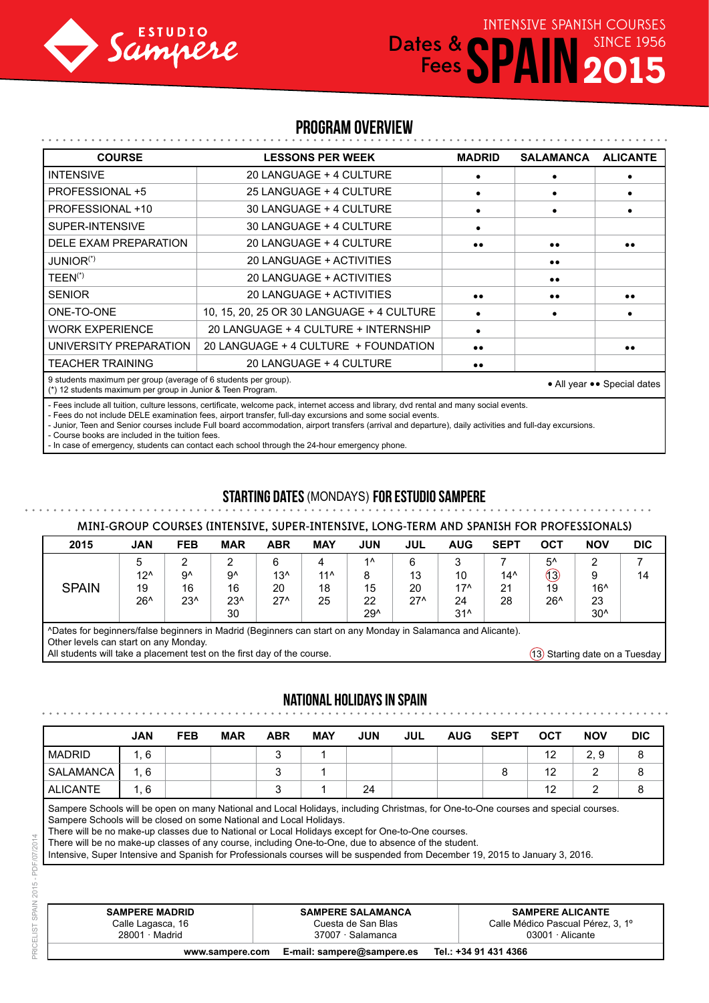

# INTENSIVE SPANISH COURSES Dates & **SPAIN 2015** Fees

## PROGRAM OVERVIEW

| <b>COURSE</b>                                                   | <b>LESSONS PER WEEK</b>                   | <b>MADRID</b>      | <b>SALAMANCA</b> | <b>ALICANTE</b>              |
|-----------------------------------------------------------------|-------------------------------------------|--------------------|------------------|------------------------------|
| <b>INTENSIVE</b>                                                | 20 LANGUAGE + 4 CULTURE                   | ٠                  | $\bullet$        |                              |
| <b>PROFESSIONAL +5</b>                                          | 25 LANGUAGE + 4 CULTURE                   |                    |                  |                              |
| PROFESSIONAL +10                                                | 30 LANGUAGE + 4 CULTURE                   |                    |                  |                              |
| SUPER-INTENSIVE                                                 | 30 LANGUAGE + 4 CULTURE                   |                    |                  |                              |
| DELE EXAM PREPARATION                                           | 20 LANGUAGE + 4 CULTURE                   | $\bullet\bullet$   | $\bullet\bullet$ | $\bullet\bullet$             |
| JUNIOR <sup>(*)</sup>                                           | 20 LANGUAGE + ACTIVITIES                  |                    | $\bullet\bullet$ |                              |
| TEEN <sup>(*)</sup>                                             | 20 LANGUAGE + ACTIVITIES                  |                    | $\bullet\bullet$ |                              |
| <b>SENIOR</b>                                                   | 20 LANGUAGE + ACTIVITIES                  | $\bullet\bullet$   | $\bullet\bullet$ | $\bullet\bullet$             |
| ONE-TO-ONE                                                      | 10, 15, 20, 25 OR 30 LANGUAGE + 4 CULTURE |                    |                  |                              |
| <b>WORK EXPERIENCE</b>                                          | 20 LANGUAGE + 4 CULTURE + INTERNSHIP      | ٠                  |                  |                              |
| UNIVERSITY PREPARATION                                          | 20 LANGUAGE + 4 CULTURE + FOUNDATION      | $\bullet\,\bullet$ |                  | $\bullet\bullet$             |
| <b>TEACHER TRAINING</b>                                         | 20 LANGUAGE + 4 CULTURE                   | $\bullet\bullet$   |                  |                              |
| 9 students maximum per group (average of 6 students per group). |                                           |                    |                  | • All year • • Special dates |

(\*) 12 students maximum per group in Junior & Teen Program.

- Fees include all tuition, culture lessons, certificate, welcome pack, internet access and library, dvd rental and many social events.

- Fees do not include DELE examination fees, airport transfer, full-day excursions and some social events.

- Junior, Teen and Senior courses include Full board accommodation, airport transfers (arrival and departure), daily activities and full-day excursions.

- Course books are included in the tuition fees.

- In case of emergency, students can contact each school through the 24-hour emergency phone.

## STARTING DATES (MONDAYS) FOR ESTUDIO SAMPERE

## MINI-GROUP COURSES (INTENSIVE, SUPER-INTENSIVE, LONG-TERM AND SPANISH FOR PROFESSIONALS)

| 2015                                                                                                                                                                                                                                                                   | <b>JAN</b>                | FEB               | <b>MAR</b>                   | <b>ABR</b>                      | <b>MAY</b>        | <b>JUN</b>                          | JUL                    | <b>AUG</b>                 | <b>SEPT</b>               | OCT                                | <b>NOV</b>                | <b>DIC</b> |
|------------------------------------------------------------------------------------------------------------------------------------------------------------------------------------------------------------------------------------------------------------------------|---------------------------|-------------------|------------------------------|---------------------------------|-------------------|-------------------------------------|------------------------|----------------------------|---------------------------|------------------------------------|---------------------------|------------|
| <b>SPAIN</b>                                                                                                                                                                                                                                                           | 5<br>$12^$<br>19<br>$26^$ | g٨<br>16<br>$23^$ | 2<br>٩٨<br>16<br>$23^$<br>30 | 6<br>13^<br>20<br>$27^{\wedge}$ | $11^$<br>18<br>25 | 1 <sub>0</sub><br>15<br>22<br>$29^$ | 6<br>13<br>20<br>$27^$ | 10<br>$17^$<br>24<br>$31^$ | $14^{\wedge}$<br>21<br>28 | 5^<br>$\circled{3}$<br>19<br>$26^$ | 9<br>$16^$<br>23<br>$30^$ | 14         |
| ^Dates for beginners/false beginners in Madrid (Beginners can start on any Monday in Salamanca and Alicante).<br>Other levels can start on any Monday.<br>$(13)$ Starting date on a Tuesday<br>All students will take a placement test on the first day of the course. |                           |                   |                              |                                 |                   |                                     |                        |                            |                           |                                    |                           |            |

NATIONAL HOLIDAYS IN spain

|                 | <b>JAN</b> | <b>FEB</b> | <b>MAR</b> | <b>ABR</b> | <b>MAY</b> | <b>JUN</b> | <b>JUL</b> | <b>AUG</b> | <b>SEPT</b> | ОСТ | <b>NOV</b>      | <b>DIC</b> |
|-----------------|------------|------------|------------|------------|------------|------------|------------|------------|-------------|-----|-----------------|------------|
| <b>MADRID</b>   | . 6        |            |            |            |            |            |            |            |             | 12  | 2 Q<br><u>.</u> |            |
| SALAMANCA       | 1, 6       |            |            |            |            |            |            |            |             | 12  | ∼               |            |
| <b>ALICANTE</b> | ı. 6       |            |            |            |            | 24         |            |            |             | 12  |                 |            |

Sampere Schools will be open on many National and Local Holidays, including Christmas, for One-to-One courses and special courses. Sampere Schools will be closed on some National and Local Holidays.

There will be no make-up classes due to National or Local Holidays except for One-to-One courses.

There will be no make-up classes of any course, including One-to-One, due to absence of the student.

Intensive, Super Intensive and Spanish for Professionals courses will be suspended from December 19, 2015 to January 3, 2016.

| <b>SAMPERE MADRID</b> | <b>SAMPERE SALAMANCA</b>   | <b>SAMPERE ALICANTE</b>           |
|-----------------------|----------------------------|-----------------------------------|
| Calle Lagasca, 16     | Cuesta de San Blas         | Calle Médico Pascual Pérez, 3, 1º |
| $28001 \cdot$ Madrid  | $37007 \cdot$ Salamanca    | $03001 \cdot$ Alicante            |
| www.sampere.com       | E-mail: sampere@sampere.es | Tel.: +34 91 431 4366             |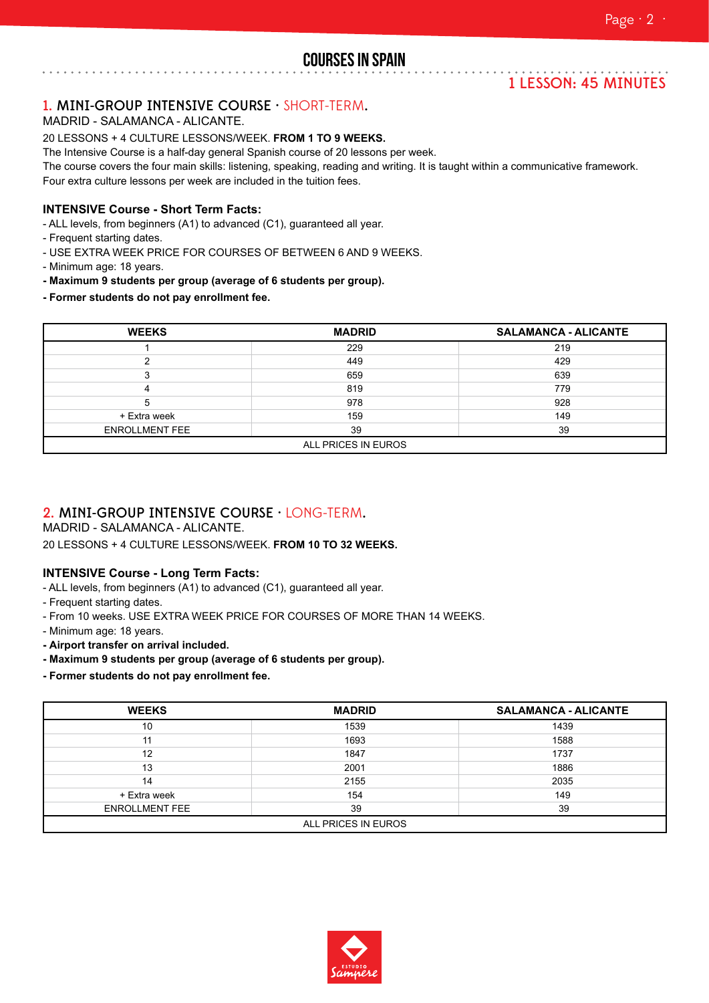## COURSES IN SPAIN

## 1 LESSON: 45 MINUTES

## 1. MINI-GROUP INTENSIVE COURSE · SHORT-TERM.

MADRID - SALAMANCA - ALICANTE.

#### 20 LESSONS + 4 CULTURE LESSONS/WEEK. **FROM 1 TO 9 WEEKS.**

The Intensive Course is a half-day general Spanish course of 20 lessons per week.

The course covers the four main skills: listening, speaking, reading and writing. It is taught within a communicative framework. Four extra culture lessons per week are included in the tuition fees.

#### **Intensive Course - Short Term Facts:**

- ALL levels, from beginners (A1) to advanced (C1), guaranteed all year.

- Frequent starting dates.
- USE EXTRA WEEK PRICE FOR COURSES OF BETWEEN 6 AND 9 WEEKS.
- Minimum age: 18 years.
- **Maximum 9 students per group (average of 6 students per group).**
- **Former students do not pay enrollment fee.**

| <b>WEEKS</b>          | <b>MADRID</b> | <b>SALAMANCA - ALICANTE</b> |  |  |
|-----------------------|---------------|-----------------------------|--|--|
|                       | 229           | 219                         |  |  |
| ົ                     | 449           | 429                         |  |  |
| 3                     | 659           | 639                         |  |  |
| 4                     | 819           | 779                         |  |  |
| 5                     | 978           | 928                         |  |  |
| + Extra week          | 159           | 149                         |  |  |
| <b>ENROLLMENT FEE</b> | 39            | 39                          |  |  |
| ALL PRICES IN EUROS   |               |                             |  |  |

## 2. MINI-GROUP INTENSIVE COURSE · LONG-TERM.

MADRID - SALAMANCA - ALICANTE.

20 LESSONS + 4 CULTURE LESSONS/WEEK. **FROM 10 TO 32 WEEKS.**

#### **Intensive Course - Long Term Facts:**

- ALL levels, from beginners (A1) to advanced (C1), guaranteed all year.
- Frequent starting dates.
- From 10 weeks. USE EXTRA WEEK PRICE FOR COURSES OF MORE THAN 14 WEEKS.
- Minimum age: 18 years.
- **- Airport transfer on arrival included.**
- **Maximum 9 students per group (average of 6 students per group).**
- **Former students do not pay enrollment fee.**

| <b>WEEKS</b>          | <b>MADRID</b> | <b>SALAMANCA - ALICANTE</b> |  |  |
|-----------------------|---------------|-----------------------------|--|--|
| 10                    | 1539          | 1439                        |  |  |
| 11                    | 1693          | 1588                        |  |  |
| 12                    | 1847          | 1737                        |  |  |
| 13                    | 2001          | 1886                        |  |  |
| 14                    | 2155          | 2035                        |  |  |
| + Extra week          | 154           | 149                         |  |  |
| <b>ENROLLMENT FEE</b> | 39            | 39                          |  |  |
| ALL PRICES IN EUROS   |               |                             |  |  |

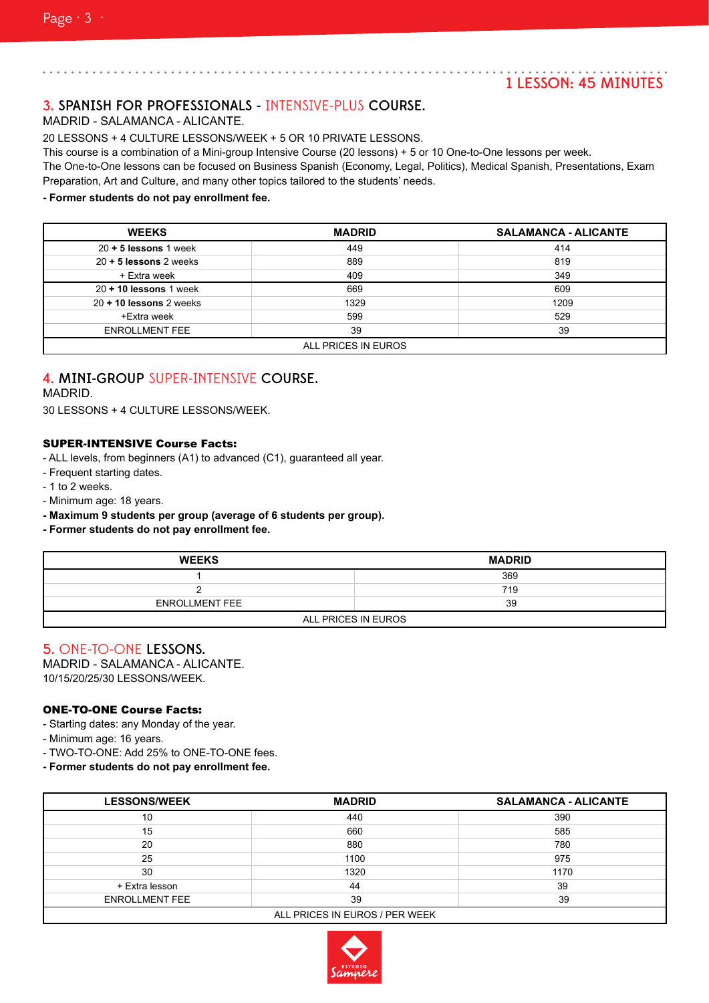## 1 LESSON: 45 MINUTES

## 3. SPANISH FOR PROFESSIONALS - INTENSIVE-PLUS COURSE.

MADRID - SALAMANCA - ALICANTE.

20 LESSONS + 4 CULTURE LESSONS/WEEK + 5 or 10 private lessons.

This course is a combination of a Mini-group Intensive Course (20 lessons) + 5 or 10 One-to-One lessons per week.

The One-to-One lessons can be focused on Business Spanish (Economy, Legal, Politics), Medical Spanish, Presentations, Exam Preparation, Art and Culture, and many other topics tailored to the students' needs.

#### **- Former students do not pay enrollment fee.**

| <b>WEEKS</b>              | <b>MADRID</b> | <b>SALAMANCA - ALICANTE</b> |  |  |
|---------------------------|---------------|-----------------------------|--|--|
| $20 + 5$ lessons 1 week   | 449           | 414                         |  |  |
| $20 + 5$ lessons 2 weeks  | 889           | 819                         |  |  |
| + Extra week              | 409           | 349                         |  |  |
| $20 + 10$ lessons 1 week  | 669           | 609                         |  |  |
| $20 + 10$ lessons 2 weeks | 1329          | 1209                        |  |  |
| +Extra week               | 599           | 529                         |  |  |
| <b>ENROLLMENT FEE</b>     | 39            | 39                          |  |  |
| ALL PRICES IN EUROS       |               |                             |  |  |

## 4. MINI-GROUP SUPER-INTENSIVE COURSE.

MADRID.

30 LESSONS + 4 CULTURE LESSONS/WEEK.

#### Super-Intensive Course Facts:

- ALL levels, from beginners (A1) to advanced (C1), guaranteed all year.

- Frequent starting dates.
- 1 to 2 weeks.
- Minimum age: 18 years.
- **Maximum 9 students per group (average of 6 students per group).**
- **Former students do not pay enrollment fee.**

| <b>WEEKS</b>          | <b>MADRID</b> |  |  |  |
|-----------------------|---------------|--|--|--|
|                       | 369           |  |  |  |
|                       | 719           |  |  |  |
| <b>ENROLLMENT FEE</b> | 39            |  |  |  |
| ALL PRICES IN EUROS   |               |  |  |  |

## 5. ONE-TO-ONE LESSONS.

MADRID - SALAMANCA - ALICANTE.

10/15/20/25/30 LESSONS/WEEK.

### ONE-TO-ONE Course Facts:

- Starting dates: any Monday of the year.

- Minimum age: 16 years.
- TWO-TO-ONE: Add 25% to ONE-TO-ONE fees.
- **Former students do not pay enrollment fee.**

| <b>LESSONS/WEEK</b>   | <b>MADRID</b> | <b>SALAMANCA - ALICANTE</b> |
|-----------------------|---------------|-----------------------------|
| 10                    | 440           | 390                         |
| 15                    | 660           | 585                         |
| 20                    | 880           | 780                         |
| 25                    | 1100          | 975                         |
| 30                    | 1320          | 1170                        |
| + Extra lesson        | 44            | 39                          |
| <b>ENROLLMENT FEE</b> | 39            | 39                          |
|                       |               |                             |

ALL PRICES IN EUROS / PER WEEK

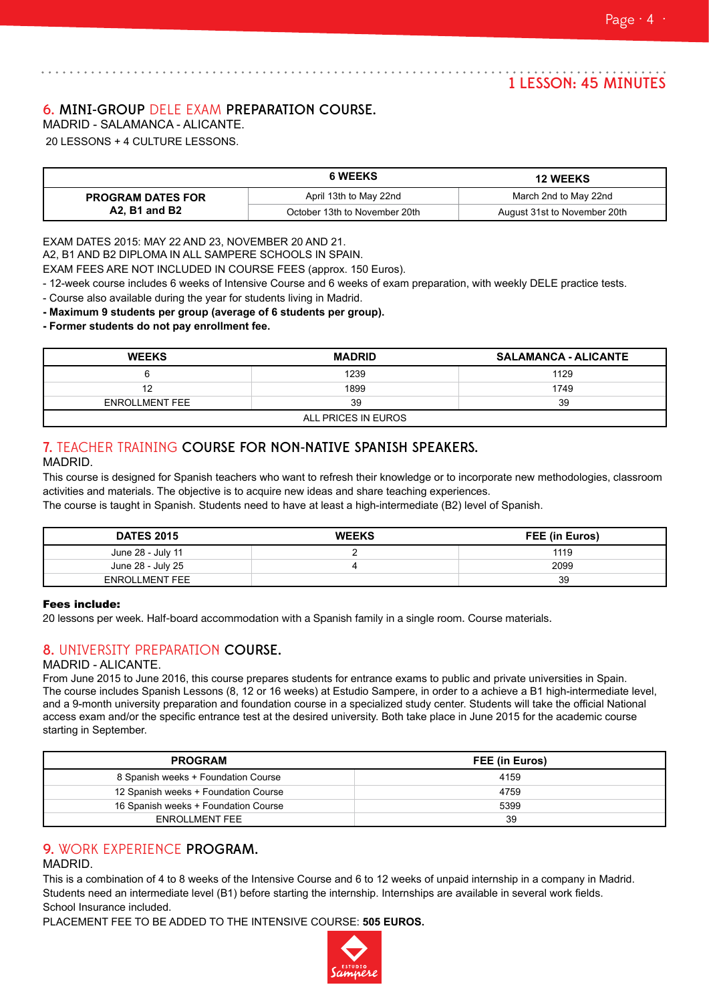## 1 LESSON: 45 MINUTES

## 6. MINI-GROUP DELE EXAM PREPARATION COURSE.

MADRID - SALAMANCA - ALICANTE.

20 LESSONS + 4 CULTURE LESSONS.

|                          | <b>6 WEEKS</b>                | <b>12 WEEKS</b>              |
|--------------------------|-------------------------------|------------------------------|
| <b>PROGRAM DATES FOR</b> | April 13th to May 22nd        | March 2nd to May 22nd        |
| <b>A2. B1 and B2</b>     | October 13th to November 20th | August 31st to November 20th |

EXAM DATES 2015: MAY 22 AND 23, NOVEMBER 20 AND 21.

A2, B1 AND B2 DIPLOMA IN ALL SAMPERE SCHOOLS IN SPAIN.

EXAM FEES ARE NOT INCLUDED IN COURSE FEES (approx. 150 Euros).

- 12-week course includes 6 weeks of Intensive Course and 6 weeks of exam preparation, with weekly DELE practice tests.

- Course also available during the year for students living in Madrid.

**- Maximum 9 students per group (average of 6 students per group).**

**- Former students do not pay enrollment fee.**

| <b>WEEKS</b>          | <b>MADRID</b> | <b>SALAMANCA - ALICANTE</b> |  |  |
|-----------------------|---------------|-----------------------------|--|--|
|                       | 1239          | 1129                        |  |  |
| 12                    | 1899          | 1749                        |  |  |
| <b>ENROLLMENT FEE</b> | 39            | 39                          |  |  |
| ALL PRICES IN EUROS   |               |                             |  |  |

## 7. TEACHER TRAINING COURSE FOR NON-NATIVE SPANISH SPEAKERS.

MADRID.

This course is designed for Spanish teachers who want to refresh their knowledge or to incorporate new methodologies, classroom activities and materials. The objective is to acquire new ideas and share teaching experiences.

The course is taught in Spanish. Students need to have at least a high-intermediate (B2) level of Spanish.

| <b>DATES 2015</b> | <b>WEEKS</b> | FEE (in Euros) |
|-------------------|--------------|----------------|
| June 28 - July 11 |              | 1119           |
| June 28 - July 25 |              | 2099           |
| ENROLLMENT FEE    |              | 39             |

#### Fees include:

20 lessons per week. Half-board accommodation with a Spanish family in a single room. Course materials.

## 8. UNIVERSITY PREPARATION COURSE.

#### MADRID - ALICANTE.

From June 2015 to June 2016, this course prepares students for entrance exams to public and private universities in Spain. The course includes Spanish Lessons (8, 12 or 16 weeks) at Estudio Sampere, in order to a achieve a B1 high-intermediate level, and a 9-month university preparation and foundation course in a specialized study center. Students will take the official National access exam and/or the specific entrance test at the desired university. Both take place in June 2015 for the academic course starting in September.

| <b>PROGRAM</b>                       | FEE (in Euros) |
|--------------------------------------|----------------|
| 8 Spanish weeks + Foundation Course  | 4159           |
| 12 Spanish weeks + Foundation Course | 4759           |
| 16 Spanish weeks + Foundation Course | 5399           |
| <b>ENROLLMENT FEE</b>                | 39             |

## 9. WORK EXPERIENCE PROGRAM.

#### MADRID.

This is a combination of 4 to 8 weeks of the Intensive Course and 6 to 12 weeks of unpaid internship in a company in Madrid. Students need an intermediate level (B1) before starting the internship. Internships are available in several work fields. School Insurance included.

PLACEMENT FEE TO BE ADDED TO THE INTENSIVE COURSE: **505 EUROS.**

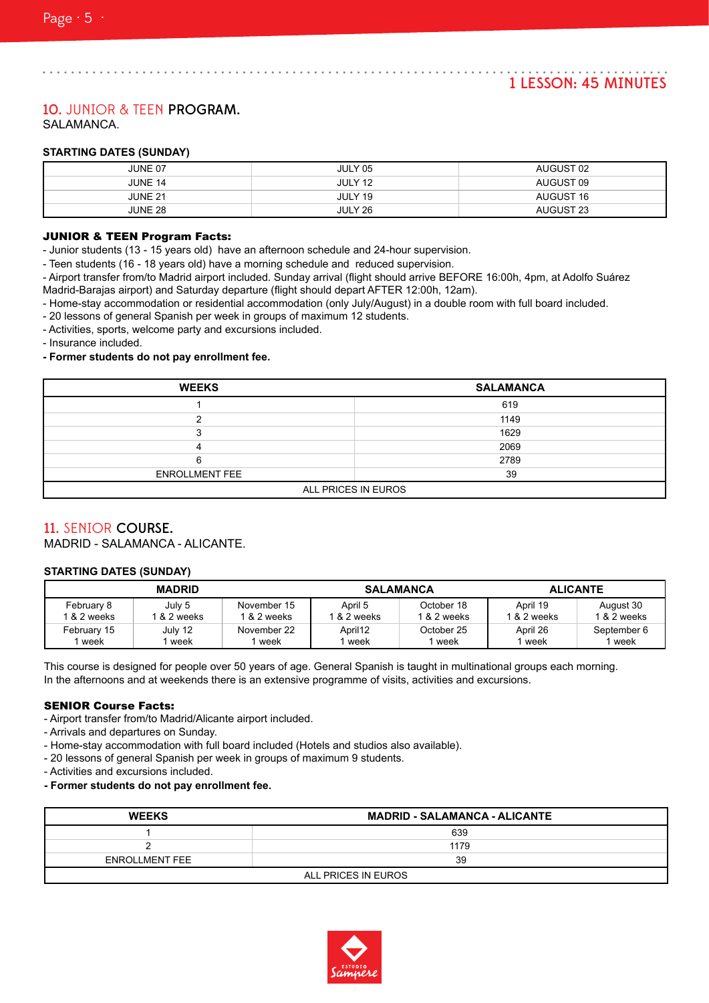1 LESSON: 45 MINUTES

## 10. JUNIOR & TEEN PROGRAM.

SALAMANCA.

#### **STARTING DATES (SUNDAY)**

| JUNE 07 | JULY 05 | AUGUST 02 |
|---------|---------|-----------|
| JUNE 14 | JULY 12 | AUGUST 09 |
| JUNE 21 | JULY 19 | AUGUST 16 |
| JUNE 28 | JULY 26 | AUGUST 23 |

#### JUNIOR & TEEN Program Facts:

- Junior students (13 - 15 years old) have an afternoon schedule and 24-hour supervision.

- Teen students (16 - 18 years old) have a morning schedule and reduced supervision.

- Airport transfer from/to Madrid airport included. Sunday arrival (flight should arrive BEFORE 16:00h, 4pm, at Adolfo Suárez Madrid-Barajas airport) and Saturday departure (flight should depart AFTER 12:00h, 12am).

- Home-stay accommodation or residential accommodation (only July/August) in a double room with full board included.

- 20 lessons of general Spanish per week in groups of maximum 12 students.

- Activities, sports, welcome party and excursions included.

- Insurance included.

#### **- Former students do not pay enrollment fee.**

| <b>WEEKS</b>          | <b>SALAMANCA</b> |  |
|-----------------------|------------------|--|
|                       | 619              |  |
|                       | 1149             |  |
| ◠                     | 1629             |  |
| $\Delta$              | 2069             |  |
| 6                     | 2789             |  |
| <b>ENROLLMENT FEE</b> | 39               |  |
| ALL PRICES IN EUROS   |                  |  |

#### 11. SENIOR COURSE.

MADRID - SALAMANCA - ALICANTE.

#### **Starting dates (SUNDAY)**

|             | <b>MADRID</b> |             |             | <b>SALAMANCA</b> |             | <b>ALICANTE</b> |
|-------------|---------------|-------------|-------------|------------------|-------------|-----------------|
| February 8  | July 5        | November 15 | April 5     | October 18       | April 19    | August 30       |
| 1 & 2 weeks | 1 & 2 weeks   | 1 & 2 weeks | 1 & 2 weeks | 1 & 2 weeks      | 1 & 2 weeks | 1 & 2 weeks     |
| February 15 | July 12       | November 22 | April12     | October 25       | April 26    | September 6     |
| week        | week          | week        | week        | week             | week        | week            |

This course is designed for people over 50 years of age. General Spanish is taught in multinational groups each morning. In the afternoons and at weekends there is an extensive programme of visits, activities and excursions.

#### SENIOR Course Facts:

- Airport transfer from/to Madrid/Alicante airport included.
- Arrivals and departures on Sunday.
- Home-stay accommodation with full board included (Hotels and studios also available).
- 20 lessons of general Spanish per week in groups of maximum 9 students.
- Activities and excursions included.
- **Former students do not pay enrollment fee.**

| <b>WEEKS</b>        | <b>MADRID - SALAMANCA - ALICANTE</b> |
|---------------------|--------------------------------------|
|                     | 639                                  |
|                     | 1179                                 |
| ENROLLMENT FEE      | 39                                   |
| ALL PRICES IN EUROS |                                      |

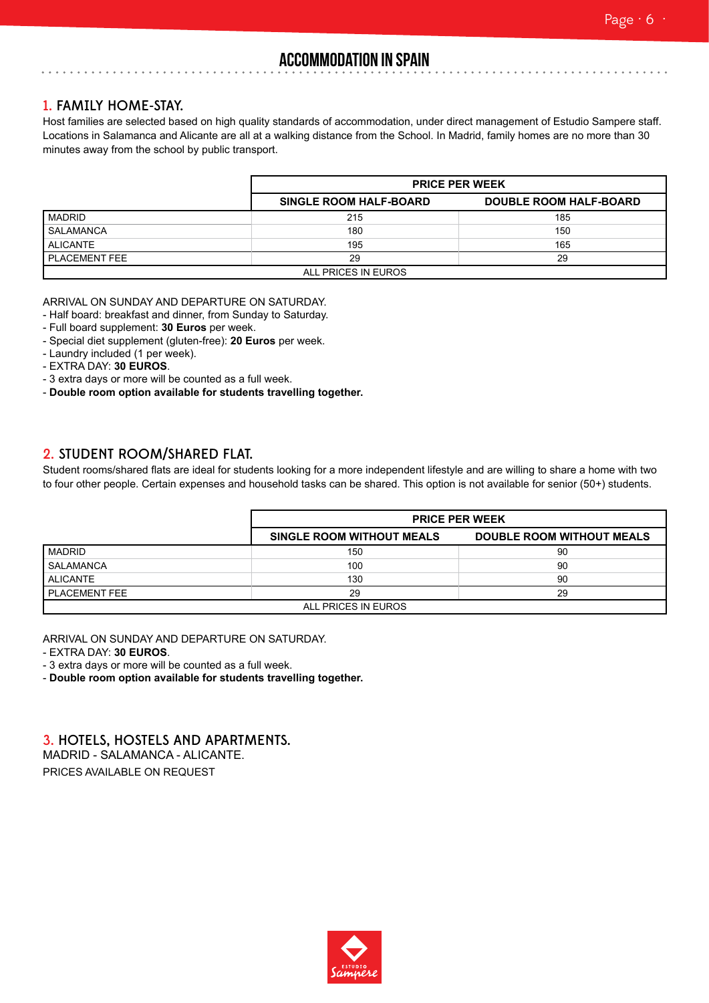## ACCOMMODATION IN SPAIN

## 1. FAMILY HOME-STAY.

Host families are selected based on high quality standards of accommodation, under direct management of Estudio Sampere staff. Locations in Salamanca and Alicante are all at a walking distance from the School. In Madrid, family homes are no more than 30 minutes away from the school by public transport.

|                      | <b>PRICE PER WEEK</b>         |                               |
|----------------------|-------------------------------|-------------------------------|
|                      | <b>SINGLE ROOM HALF-BOARD</b> | <b>DOUBLE ROOM HALF-BOARD</b> |
| <b>MADRID</b>        | 215                           | 185                           |
| <b>SALAMANCA</b>     | 180                           | 150                           |
| ALICANTE             | 195                           | 165                           |
| <b>PLACEMENT FEE</b> | 29                            | 29                            |
| ALL PRICES IN EUROS  |                               |                               |

ARRIVAL ON SUNDAY AND DEPARTURE ON SATURDAY.

- Half board: breakfast and dinner, from Sunday to Saturday.

- Full board supplement: **30 Euros** per week.

- Special diet supplement (gluten-free): **20 Euros** per week.

- Laundry included (1 per week).

- eXtra daY: **30 EUROS**.

- 3 extra days or more will be counted as a full week.

- **Double room option available for students travelling together.**

#### 2. STUDENT ROOM/SHARED FLAT.

Student rooms/shared flats are ideal for students looking for a more independent lifestyle and are willing to share a home with two to four other people. Certain expenses and household tasks can be shared. This option is not available for senior (50+) students.

|                     |                           | <b>PRICE PER WEEK</b>            |  |  |
|---------------------|---------------------------|----------------------------------|--|--|
|                     | SINGLE ROOM WITHOUT MEALS | <b>DOUBLE ROOM WITHOUT MEALS</b> |  |  |
| <b>MADRID</b>       | 150                       | 90                               |  |  |
| SALAMANCA           | 100                       | 90                               |  |  |
| <b>ALICANTE</b>     | 130                       | 90                               |  |  |
| PLACEMENT FEE       | 29                        | 29                               |  |  |
| ALL PRICES IN EUROS |                           |                                  |  |  |

ARRIVAL ON SUNDAY AND DEPARTURE ON SATURDAY.

- eXtra daY: **30 EUROS**.

- 3 extra days or more will be counted as a full week.

- **Double room option available for students travelling together.**

3. HOTELS, HOSTELS AND APARTMENTS. MADRID - SALAMANCA - ALICANTE. PRICES AVAILABLE ON REQUEST

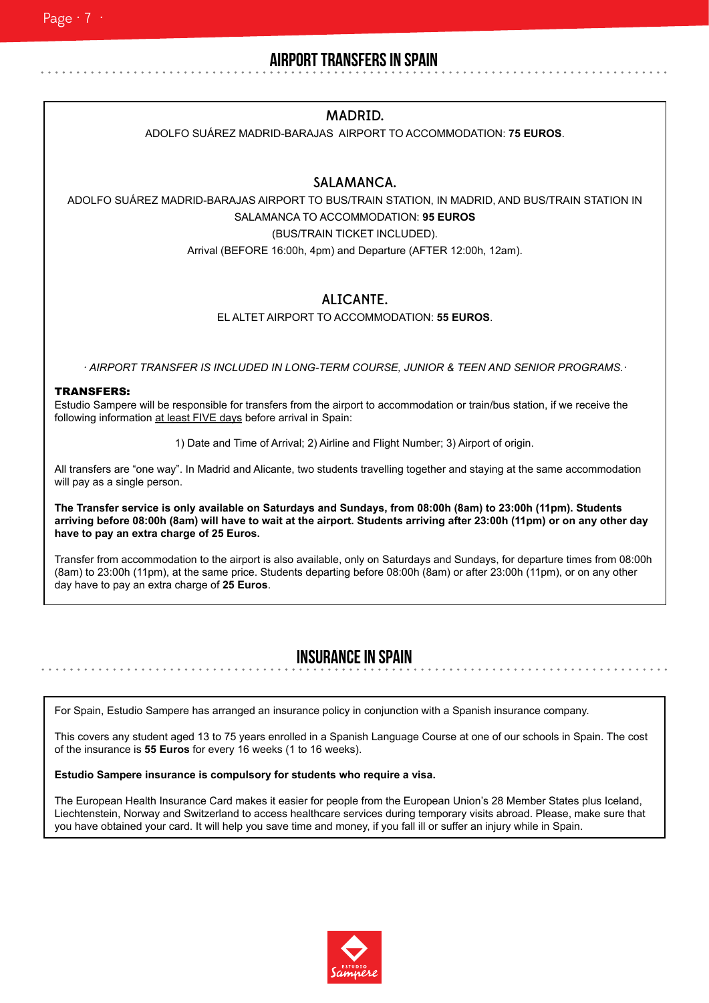## airport transfers IN SPAIN

### MADRID.

Adolfo Suárez Madrid-Barajas AIRPORT TO ACCOMMODATION: **75 EUROS**.

## SALAMANCA.

Adolfo Suárez Madrid-Barajas airport TO BUS/TRAIN STATION, IN MADRID, AND BUS/TRAIN STATION IN SALAMANCA TO ACCOMMODATION: **95 EUROS** (BUS/TRAIN TICKET INCLUDED).

Arrival (BEFORE 16:00h, 4pm) and Departure (AFTER 12:00h, 12am).

## ALICANTE.

EL ALTET AIRPORT TO ACCOMMODATION: **55 EUROS**.

*· AIRPORT TRANSFER IS INCLUDED IN LONG-TERM COURSE, JUNIOR & TEEN AND SENIOR PROGRAMS.·*

#### TRANSFERS:

Estudio Sampere will be responsible for transfers from the airport to accommodation or train/bus station, if we receive the following information at least FIVE days before arrival in Spain:

1) Date and Time of Arrival; 2) Airline and Flight Number; 3) Airport of origin.

All transfers are "one way". In Madrid and Alicante, two students travelling together and staying at the same accommodation will pay as a single person.

**The Transfer service is only available on Saturdays and Sundays, from 08:00h (8am) to 23:00h (11pm). Students arriving before 08:00h (8am) will have to wait at the airport. Students arriving after 23:00h (11pm) or on any other day have to pay an extra charge of 25 Euros.**

Transfer from accommodation to the airport is also available, only on Saturdays and Sundays, for departure times from 08:00h (8am) to 23:00h (11pm), at the same price. Students departing before 08:00h (8am) or after 23:00h (11pm), or on any other day have to pay an extra charge of **25 Euros**.

## INSURANCE IN SPAIN

For Spain, Estudio Sampere has arranged an insurance policy in conjunction with a Spanish insurance company.

This covers any student aged 13 to 75 years enrolled in a Spanish Language Course at one of our schools in Spain. The cost of the insurance is **55 Euros** for every 16 weeks (1 to 16 weeks).

**Estudio Sampere insurance is compulsory for students who require a visa.**

The European Health Insurance Card makes it easier for people from the European Union's 28 Member States plus Iceland, Liechtenstein, Norway and Switzerland to access healthcare services during temporary visits abroad. Please, make sure that you have obtained your card. It will help you save time and money, if you fall ill or suffer an injury while in Spain.